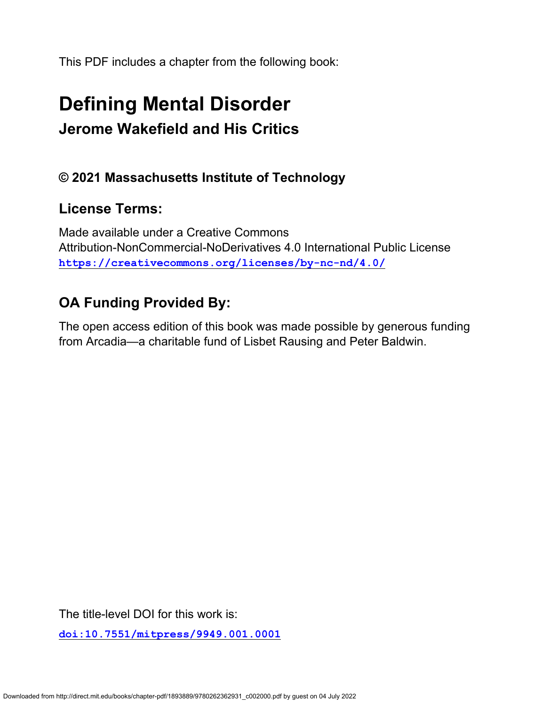This PDF includes a chapter from the following book:

# **Defining Mental Disorder Jerome Wakefield and His Critics**

# **© 2021 Massachusetts Institute of Technology**

# **License Terms:**

Made available under a Creative Commons Attribution-NonCommercial-NoDerivatives 4.0 International Public License **<https://creativecommons.org/licenses/by-nc-nd/4.0/>**

# **OA Funding Provided By:**

The open access edition of this book was made possible by generous funding from Arcadia—a charitable fund of Lisbet Rausing and Peter Baldwin.

The title-level DOI for this work is:

**[doi:10.7551/mitpress/9949.001.0001](https://doi.org/10.7551/mitpress/9949.001.0001)**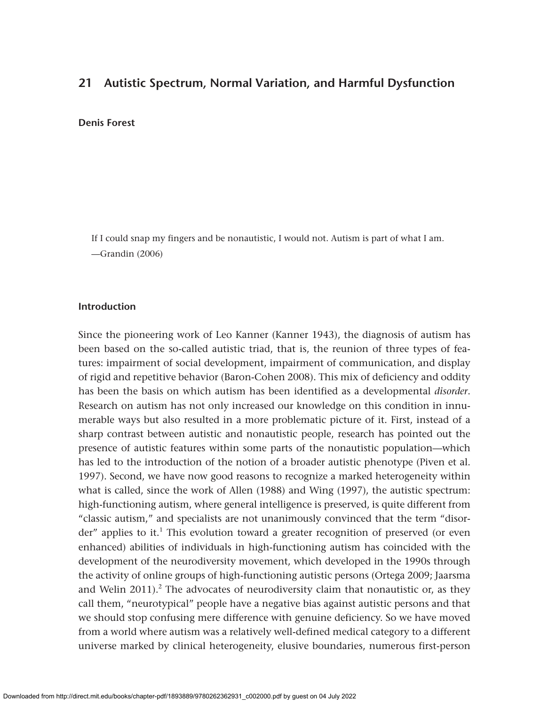# **21 Autistic Spectrum, Normal Variation, and Harmful Dysfunction**

## **Denis Forest**

If I could snap my fingers and be nonautistic, I would not. Autism is part of what I am. —Grandin (2006)

# **Introduction**

Since the pioneering work of Leo Kanner (Kanner 1943), the diagnosis of autism has been based on the so-called autistic triad, that is, the reunion of three types of features: impairment of social development, impairment of communication, and display of rigid and repetitive behavior (Baron-Cohen 2008). This mix of deficiency and oddity has been the basis on which autism has been identified as a developmental *disorder*. Research on autism has not only increased our knowledge on this condition in innumerable ways but also resulted in a more problematic picture of it. First, instead of a sharp contrast between autistic and nonautistic people, research has pointed out the presence of autistic features within some parts of the nonautistic population—which has led to the introduction of the notion of a broader autistic phenotype (Piven et al. 1997). Second, we have now good reasons to recognize a marked heterogeneity within what is called, since the work of Allen (1988) and Wing (1997), the autistic spectrum: high-functioning autism, where general intelligence is preserved, is quite different from "classic autism," and specialists are not unanimously convinced that the term "disorder" applies to it.<sup>1</sup> This evolution toward a greater recognition of preserved (or even enhanced) abilities of individuals in high-functioning autism has coincided with the development of the neurodiversity movement, which developed in the 1990s through the activity of online groups of high-functioning autistic persons (Ortega 2009; Jaarsma and Welin 2011).<sup>2</sup> The advocates of neurodiversity claim that nonautistic or, as they call them, "neurotypical" people have a negative bias against autistic persons and that we should stop confusing mere difference with genuine deficiency. So we have moved from a world where autism was a relatively well-defined medical category to a different universe marked by clinical heterogeneity, elusive boundaries, numerous first-person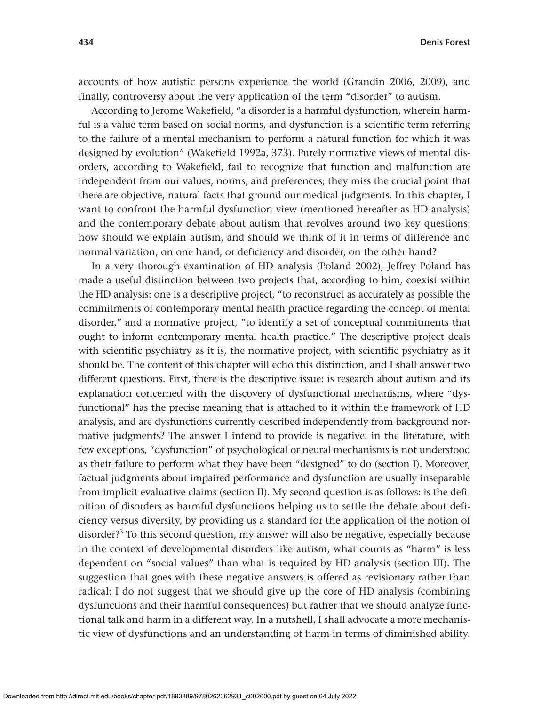accounts of how autistic persons experience the world (Grandin 2006, 2009), and finally, controversy about the very application of the term "disorder" to autism.

According to Jerome Wakefield, "a disorder is a harmful dysfunction, wherein harmful is a value term based on social norms, and dysfunction is a scientific term referring to the failure of a mental mechanism to perform a natural function for which it was designed by evolution" (Wakefield 1992a, 373). Purely normative views of mental disorders, according to Wakefield, fail to recognize that function and malfunction are independent from our values, norms, and preferences; they miss the crucial point that there are objective, natural facts that ground our medical judgments. In this chapter, I want to confront the harmful dysfunction view (mentioned hereafter as HD analysis) and the contemporary debate about autism that revolves around two key questions: how should we explain autism, and should we think of it in terms of difference and normal variation, on one hand, or deficiency and disorder, on the other hand?

In a very thorough examination of HD analysis (Poland 2002), Jeffrey Poland has made a useful distinction between two projects that, according to him, coexist within the HD analysis: one is a descriptive project, "to reconstruct as accurately as possible the commitments of contemporary mental health practice regarding the concept of mental disorder," and a normative project, "to identify a set of conceptual commitments that ought to inform contemporary mental health practice." The descriptive project deals with scientific psychiatry as it is, the normative project, with scientific psychiatry as it should be. The content of this chapter will echo this distinction, and I shall answer two different questions. First, there is the descriptive issue: is research about autism and its explanation concerned with the discovery of dysfunctional mechanisms, where "dysfunctional" has the precise meaning that is attached to it within the framework of HD analysis, and are dysfunctions currently described independently from background normative judgments? The answer I intend to provide is negative: in the literature, with few exceptions, "dysfunction" of psychological or neural mechanisms is not understood as their failure to perform what they have been "designed" to do (section I). Moreover, factual judgments about impaired performance and dysfunction are usually inseparable from implicit evaluative claims (section II). My second question is as follows: is the definition of disorders as harmful dysfunctions helping us to settle the debate about deficiency versus diversity, by providing us a standard for the application of the notion of disorder?<sup>3</sup> To this second question, my answer will also be negative, especially because in the context of developmental disorders like autism, what counts as "harm" is less dependent on "social values" than what is required by HD analysis (section III). The suggestion that goes with these negative answers is offered as revisionary rather than radical: I do not suggest that we should give up the core of HD analysis (combining dysfunctions and their harmful consequences) but rather that we should analyze functional talk and harm in a different way. In a nutshell, I shall advocate a more mechanistic view of dysfunctions and an understanding of harm in terms of diminished ability.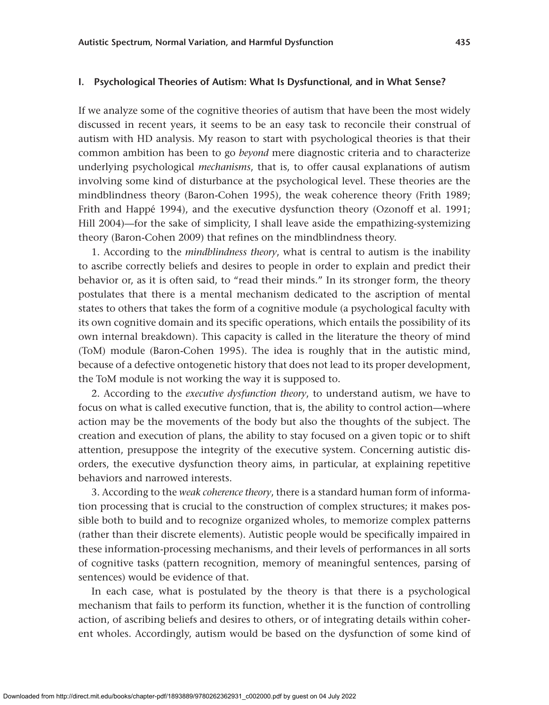#### **I. Psychological Theories of Autism: What Is Dysfunctional, and in What Sense?**

If we analyze some of the cognitive theories of autism that have been the most widely discussed in recent years, it seems to be an easy task to reconcile their construal of autism with HD analysis. My reason to start with psychological theories is that their common ambition has been to go *beyond* mere diagnostic criteria and to characterize underlying psychological *mechanisms*, that is, to offer causal explanations of autism involving some kind of disturbance at the psychological level. These theories are the mindblindness theory (Baron-Cohen 1995), the weak coherence theory (Frith 1989; Frith and Happé 1994), and the executive dysfunction theory (Ozonoff et al. 1991; Hill 2004)—for the sake of simplicity, I shall leave aside the empathizing-systemizing theory (Baron-Cohen 2009) that refines on the mindblindness theory.

1. According to the *mindblindness theory*, what is central to autism is the inability to ascribe correctly beliefs and desires to people in order to explain and predict their behavior or, as it is often said, to "read their minds." In its stronger form, the theory postulates that there is a mental mechanism dedicated to the ascription of mental states to others that takes the form of a cognitive module (a psychological faculty with its own cognitive domain and its specific operations, which entails the possibility of its own internal breakdown). This capacity is called in the literature the theory of mind (ToM) module (Baron-Cohen 1995). The idea is roughly that in the autistic mind, because of a defective ontogenetic history that does not lead to its proper development, the ToM module is not working the way it is supposed to.

2. According to the *executive dysfunction theory*, to understand autism, we have to focus on what is called executive function, that is, the ability to control action—where action may be the movements of the body but also the thoughts of the subject. The creation and execution of plans, the ability to stay focused on a given topic or to shift attention, presuppose the integrity of the executive system. Concerning autistic disorders, the executive dysfunction theory aims, in particular, at explaining repetitive behaviors and narrowed interests.

3. According to the *weak coherence theory*, there is a standard human form of information processing that is crucial to the construction of complex structures; it makes possible both to build and to recognize organized wholes, to memorize complex patterns (rather than their discrete elements). Autistic people would be specifically impaired in these information-processing mechanisms, and their levels of performances in all sorts of cognitive tasks (pattern recognition, memory of meaningful sentences, parsing of sentences) would be evidence of that.

In each case, what is postulated by the theory is that there is a psychological mechanism that fails to perform its function, whether it is the function of controlling action, of ascribing beliefs and desires to others, or of integrating details within coherent wholes. Accordingly, autism would be based on the dysfunction of some kind of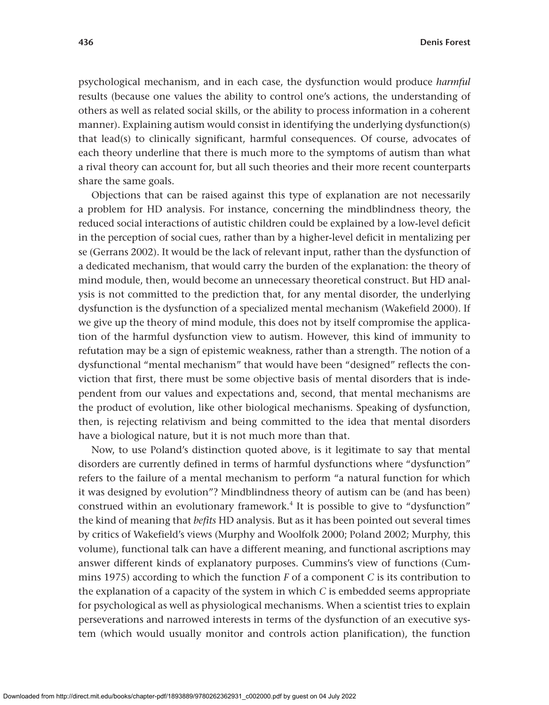psychological mechanism, and in each case, the dysfunction would produce *harmful* results (because one values the ability to control one's actions, the understanding of others as well as related social skills, or the ability to process information in a coherent manner). Explaining autism would consist in identifying the underlying dysfunction(s) that lead(s) to clinically significant, harmful consequences. Of course, advocates of each theory underline that there is much more to the symptoms of autism than what a rival theory can account for, but all such theories and their more recent counterparts share the same goals.

Objections that can be raised against this type of explanation are not necessarily a problem for HD analysis. For instance, concerning the mindblindness theory, the reduced social interactions of autistic children could be explained by a low-level deficit in the perception of social cues, rather than by a higher-level deficit in mentalizing per se (Gerrans 2002). It would be the lack of relevant input, rather than the dysfunction of a dedicated mechanism, that would carry the burden of the explanation: the theory of mind module, then, would become an unnecessary theoretical construct. But HD analysis is not committed to the prediction that, for any mental disorder, the underlying dysfunction is the dysfunction of a specialized mental mechanism (Wakefield 2000). If we give up the theory of mind module, this does not by itself compromise the application of the harmful dysfunction view to autism. However, this kind of immunity to refutation may be a sign of epistemic weakness, rather than a strength. The notion of a dysfunctional "mental mechanism" that would have been "designed" reflects the conviction that first, there must be some objective basis of mental disorders that is independent from our values and expectations and, second, that mental mechanisms are the product of evolution, like other biological mechanisms. Speaking of dysfunction, then, is rejecting relativism and being committed to the idea that mental disorders have a biological nature, but it is not much more than that.

Now, to use Poland's distinction quoted above, is it legitimate to say that mental disorders are currently defined in terms of harmful dysfunctions where "dysfunction" refers to the failure of a mental mechanism to perform "a natural function for which it was designed by evolution"? Mindblindness theory of autism can be (and has been) construed within an evolutionary framework.<sup>4</sup> It is possible to give to "dysfunction" the kind of meaning that *befits* HD analysis. But as it has been pointed out several times by critics of Wakefield's views (Murphy and Woolfolk 2000; Poland 2002; Murphy, this volume), functional talk can have a different meaning, and functional ascriptions may answer different kinds of explanatory purposes. Cummins's view of functions (Cummins 1975) according to which the function *F* of a component *C* is its contribution to the explanation of a capacity of the system in which *C* is embedded seems appropriate for psychological as well as physiological mechanisms. When a scientist tries to explain perseverations and narrowed interests in terms of the dysfunction of an executive system (which would usually monitor and controls action planification), the function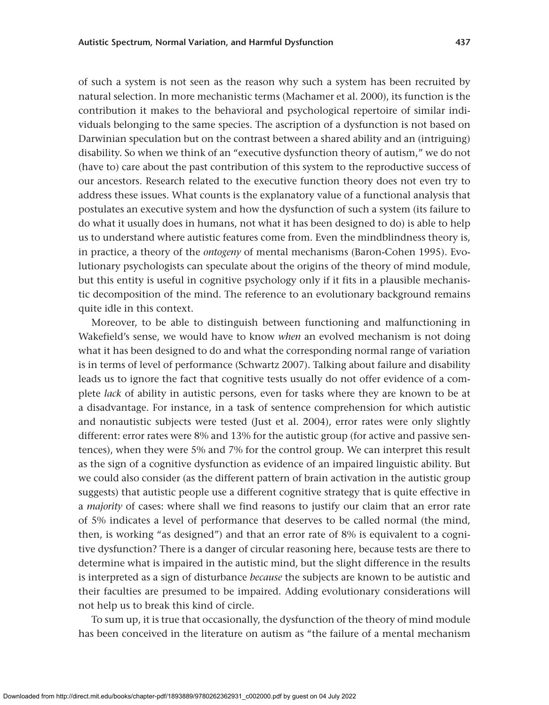of such a system is not seen as the reason why such a system has been recruited by natural selection. In more mechanistic terms (Machamer et al. 2000), its function is the contribution it makes to the behavioral and psychological repertoire of similar individuals belonging to the same species. The ascription of a dysfunction is not based on Darwinian speculation but on the contrast between a shared ability and an (intriguing) disability. So when we think of an "executive dysfunction theory of autism," we do not (have to) care about the past contribution of this system to the reproductive success of our ancestors. Research related to the executive function theory does not even try to address these issues. What counts is the explanatory value of a functional analysis that postulates an executive system and how the dysfunction of such a system (its failure to do what it usually does in humans, not what it has been designed to do) is able to help us to understand where autistic features come from. Even the mindblindness theory is, in practice, a theory of the *ontogeny* of mental mechanisms (Baron-Cohen 1995). Evolutionary psychologists can speculate about the origins of the theory of mind module, but this entity is useful in cognitive psychology only if it fits in a plausible mechanistic decomposition of the mind. The reference to an evolutionary background remains quite idle in this context.

Moreover, to be able to distinguish between functioning and malfunctioning in Wakefield's sense, we would have to know *when* an evolved mechanism is not doing what it has been designed to do and what the corresponding normal range of variation is in terms of level of performance (Schwartz 2007). Talking about failure and disability leads us to ignore the fact that cognitive tests usually do not offer evidence of a complete *lack* of ability in autistic persons, even for tasks where they are known to be at a disadvantage. For instance, in a task of sentence comprehension for which autistic and nonautistic subjects were tested (Just et al. 2004), error rates were only slightly different: error rates were 8% and 13% for the autistic group (for active and passive sentences), when they were 5% and 7% for the control group. We can interpret this result as the sign of a cognitive dysfunction as evidence of an impaired linguistic ability. But we could also consider (as the different pattern of brain activation in the autistic group suggests) that autistic people use a different cognitive strategy that is quite effective in a *majority* of cases: where shall we find reasons to justify our claim that an error rate of 5% indicates a level of performance that deserves to be called normal (the mind, then, is working "as designed") and that an error rate of 8% is equivalent to a cognitive dysfunction? There is a danger of circular reasoning here, because tests are there to determine what is impaired in the autistic mind, but the slight difference in the results is interpreted as a sign of disturbance *because* the subjects are known to be autistic and their faculties are presumed to be impaired. Adding evolutionary considerations will not help us to break this kind of circle.

To sum up, it is true that occasionally, the dysfunction of the theory of mind module has been conceived in the literature on autism as "the failure of a mental mechanism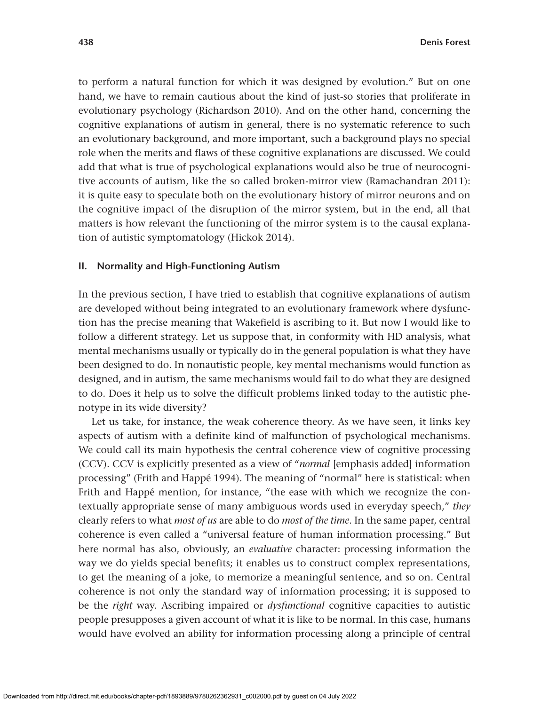to perform a natural function for which it was designed by evolution." But on one hand, we have to remain cautious about the kind of just-so stories that proliferate in evolutionary psychology (Richardson 2010). And on the other hand, concerning the cognitive explanations of autism in general, there is no systematic reference to such an evolutionary background, and more important, such a background plays no special role when the merits and flaws of these cognitive explanations are discussed. We could add that what is true of psychological explanations would also be true of neurocognitive accounts of autism, like the so called broken-mirror view (Ramachandran 2011): it is quite easy to speculate both on the evolutionary history of mirror neurons and on the cognitive impact of the disruption of the mirror system, but in the end, all that matters is how relevant the functioning of the mirror system is to the causal explanation of autistic symptomatology (Hickok 2014).

### **II. Normality and High-Functioning Autism**

In the previous section, I have tried to establish that cognitive explanations of autism are developed without being integrated to an evolutionary framework where dysfunction has the precise meaning that Wakefield is ascribing to it. But now I would like to follow a different strategy. Let us suppose that, in conformity with HD analysis, what mental mechanisms usually or typically do in the general population is what they have been designed to do. In nonautistic people, key mental mechanisms would function as designed, and in autism, the same mechanisms would fail to do what they are designed to do. Does it help us to solve the difficult problems linked today to the autistic phenotype in its wide diversity?

Let us take, for instance, the weak coherence theory. As we have seen, it links key aspects of autism with a definite kind of malfunction of psychological mechanisms. We could call its main hypothesis the central coherence view of cognitive processing (CCV). CCV is explicitly presented as a view of "*normal* [emphasis added] information processing" (Frith and Happé 1994). The meaning of "normal" here is statistical: when Frith and Happé mention, for instance, "the ease with which we recognize the contextually appropriate sense of many ambiguous words used in everyday speech," *they* clearly refers to what *most of us* are able to do *most of the time*. In the same paper, central coherence is even called a "universal feature of human information processing." But here normal has also, obviously, an *evaluative* character: processing information the way we do yields special benefits; it enables us to construct complex representations, to get the meaning of a joke, to memorize a meaningful sentence, and so on. Central coherence is not only the standard way of information processing; it is supposed to be the *right* way. Ascribing impaired or *dysfunctional* cognitive capacities to autistic people presupposes a given account of what it is like to be normal. In this case, humans would have evolved an ability for information processing along a principle of central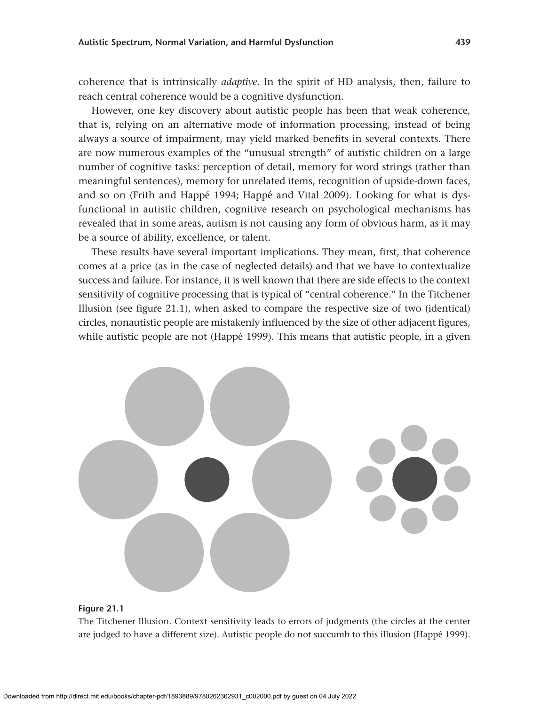coherence that is intrinsically *adaptive*. In the spirit of HD analysis, then, failure to reach central coherence would be a cognitive dysfunction.

However, one key discovery about autistic people has been that weak coherence, that is, relying on an alternative mode of information processing, instead of being always a source of impairment, may yield marked benefits in several contexts. There are now numerous examples of the "unusual strength" of autistic children on a large number of cognitive tasks: perception of detail, memory for word strings (rather than meaningful sentences), memory for unrelated items, recognition of upside-down faces, and so on (Frith and Happé 1994; Happé and Vital 2009). Looking for what is dysfunctional in autistic children, cognitive research on psychological mechanisms has revealed that in some areas, autism is not causing any form of obvious harm, as it may be a source of ability, excellence, or talent.

These results have several important implications. They mean, first, that coherence comes at a price (as in the case of neglected details) and that we have to contextualize success and failure. For instance, it is well known that there are side effects to the context sensitivity of cognitive processing that is typical of "central coherence." In the Titchener Illusion (see figure 21.1), when asked to compare the respective size of two (identical) circles, nonautistic people are mistakenly influenced by the size of other adjacent figures, while autistic people are not (Happé 1999). This means that autistic people, in a given



#### **Figure 21.1**

The Titchener Illusion. Context sensitivity leads to errors of judgments (the circles at the center are judged to have a different size). Autistic people do not succumb to this illusion (Happé 1999).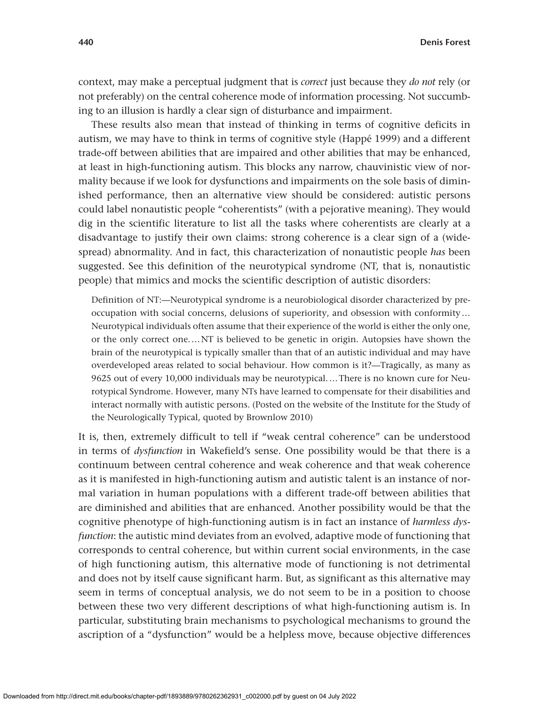context, may make a perceptual judgment that is *correct* just because they *do not* rely (or not preferably) on the central coherence mode of information processing. Not succumbing to an illusion is hardly a clear sign of disturbance and impairment.

These results also mean that instead of thinking in terms of cognitive deficits in autism, we may have to think in terms of cognitive style (Happé 1999) and a different trade-off between abilities that are impaired and other abilities that may be enhanced, at least in high-functioning autism. This blocks any narrow, chauvinistic view of normality because if we look for dysfunctions and impairments on the sole basis of diminished performance, then an alternative view should be considered: autistic persons could label nonautistic people "coherentists" (with a pejorative meaning). They would dig in the scientific literature to list all the tasks where coherentists are clearly at a disadvantage to justify their own claims: strong coherence is a clear sign of a (widespread) abnormality. And in fact, this characterization of nonautistic people *has* been suggested. See this definition of the neurotypical syndrome (NT, that is, nonautistic people) that mimics and mocks the scientific description of autistic disorders:

Definition of NT:—Neurotypical syndrome is a neurobiological disorder characterized by preoccupation with social concerns, delusions of superiority, and obsession with conformity… Neurotypical individuals often assume that their experience of the world is either the only one, or the only correct one.…NT is believed to be genetic in origin. Autopsies have shown the brain of the neurotypical is typically smaller than that of an autistic individual and may have overdeveloped areas related to social behaviour. How common is it?—Tragically, as many as 9625 out of every 10,000 individuals may be neurotypical.…There is no known cure for Neurotypical Syndrome. However, many NTs have learned to compensate for their disabilities and interact normally with autistic persons. (Posted on the website of the Institute for the Study of the Neurologically Typical, quoted by Brownlow 2010)

It is, then, extremely difficult to tell if "weak central coherence" can be understood in terms of *dysfunction* in Wakefield's sense. One possibility would be that there is a continuum between central coherence and weak coherence and that weak coherence as it is manifested in high-functioning autism and autistic talent is an instance of normal variation in human populations with a different trade-off between abilities that are diminished and abilities that are enhanced. Another possibility would be that the cognitive phenotype of high-functioning autism is in fact an instance of *harmless dysfunction*: the autistic mind deviates from an evolved, adaptive mode of functioning that corresponds to central coherence, but within current social environments, in the case of high functioning autism, this alternative mode of functioning is not detrimental and does not by itself cause significant harm. But, as significant as this alternative may seem in terms of conceptual analysis, we do not seem to be in a position to choose between these two very different descriptions of what high-functioning autism is. In particular, substituting brain mechanisms to psychological mechanisms to ground the ascription of a "dysfunction" would be a helpless move, because objective differences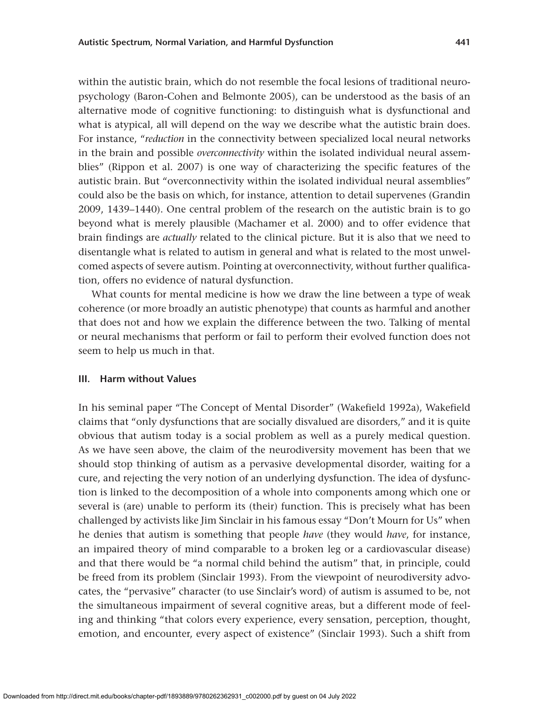within the autistic brain, which do not resemble the focal lesions of traditional neuropsychology (Baron-Cohen and Belmonte 2005), can be understood as the basis of an alternative mode of cognitive functioning: to distinguish what is dysfunctional and what is atypical, all will depend on the way we describe what the autistic brain does. For instance, "*reduction* in the connectivity between specialized local neural networks in the brain and possible *overconnectivity* within the isolated individual neural assemblies" (Rippon et al. 2007) is one way of characterizing the specific features of the autistic brain. But "overconnectivity within the isolated individual neural assemblies" could also be the basis on which, for instance, attention to detail supervenes (Grandin 2009, 1439–1440). One central problem of the research on the autistic brain is to go beyond what is merely plausible (Machamer et al. 2000) and to offer evidence that brain findings are *actually* related to the clinical picture. But it is also that we need to disentangle what is related to autism in general and what is related to the most unwelcomed aspects of severe autism. Pointing at overconnectivity, without further qualification, offers no evidence of natural dysfunction.

What counts for mental medicine is how we draw the line between a type of weak coherence (or more broadly an autistic phenotype) that counts as harmful and another that does not and how we explain the difference between the two. Talking of mental or neural mechanisms that perform or fail to perform their evolved function does not seem to help us much in that.

# **III. Harm without Values**

In his seminal paper "The Concept of Mental Disorder" (Wakefield 1992a), Wakefield claims that "only dysfunctions that are socially disvalued are disorders," and it is quite obvious that autism today is a social problem as well as a purely medical question. As we have seen above, the claim of the neurodiversity movement has been that we should stop thinking of autism as a pervasive developmental disorder, waiting for a cure, and rejecting the very notion of an underlying dysfunction. The idea of dysfunction is linked to the decomposition of a whole into components among which one or several is (are) unable to perform its (their) function. This is precisely what has been challenged by activists like Jim Sinclair in his famous essay "Don't Mourn for Us" when he denies that autism is something that people *have* (they would *have*, for instance, an impaired theory of mind comparable to a broken leg or a cardiovascular disease) and that there would be "a normal child behind the autism" that, in principle, could be freed from its problem (Sinclair 1993). From the viewpoint of neurodiversity advocates, the "pervasive" character (to use Sinclair's word) of autism is assumed to be, not the simultaneous impairment of several cognitive areas, but a different mode of feeling and thinking "that colors every experience, every sensation, perception, thought, emotion, and encounter, every aspect of existence" (Sinclair 1993). Such a shift from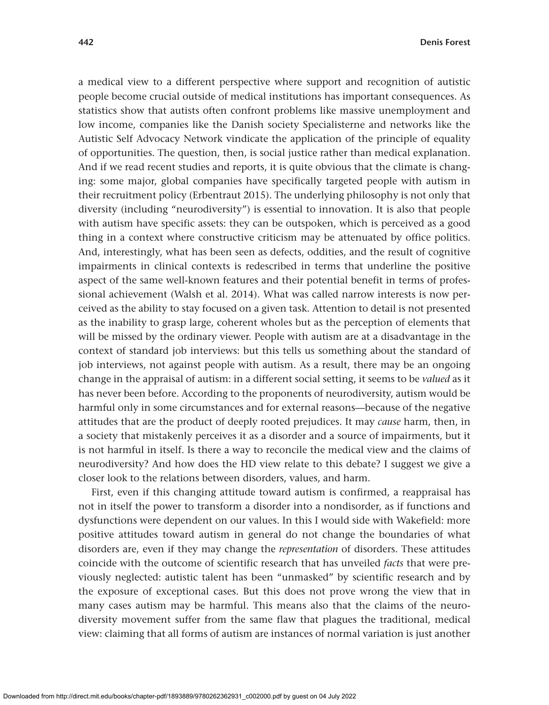a medical view to a different perspective where support and recognition of autistic people become crucial outside of medical institutions has important consequences. As statistics show that autists often confront problems like massive unemployment and low income, companies like the Danish society Specialisterne and networks like the Autistic Self Advocacy Network vindicate the application of the principle of equality of opportunities. The question, then, is social justice rather than medical explanation. And if we read recent studies and reports, it is quite obvious that the climate is changing: some major, global companies have specifically targeted people with autism in their recruitment policy (Erbentraut 2015). The underlying philosophy is not only that diversity (including "neurodiversity") is essential to innovation. It is also that people with autism have specific assets: they can be outspoken, which is perceived as a good thing in a context where constructive criticism may be attenuated by office politics. And, interestingly, what has been seen as defects, oddities, and the result of cognitive impairments in clinical contexts is redescribed in terms that underline the positive aspect of the same well-known features and their potential benefit in terms of professional achievement (Walsh et al. 2014). What was called narrow interests is now perceived as the ability to stay focused on a given task. Attention to detail is not presented as the inability to grasp large, coherent wholes but as the perception of elements that will be missed by the ordinary viewer. People with autism are at a disadvantage in the context of standard job interviews: but this tells us something about the standard of job interviews, not against people with autism. As a result, there may be an ongoing change in the appraisal of autism: in a different social setting, it seems to be *valued* as it has never been before. According to the proponents of neurodiversity, autism would be harmful only in some circumstances and for external reasons—because of the negative attitudes that are the product of deeply rooted prejudices. It may *cause* harm, then, in a society that mistakenly perceives it as a disorder and a source of impairments, but it is not harmful in itself. Is there a way to reconcile the medical view and the claims of neurodiversity? And how does the HD view relate to this debate? I suggest we give a closer look to the relations between disorders, values, and harm.

First, even if this changing attitude toward autism is confirmed, a reappraisal has not in itself the power to transform a disorder into a nondisorder, as if functions and dysfunctions were dependent on our values. In this I would side with Wakefield: more positive attitudes toward autism in general do not change the boundaries of what disorders are, even if they may change the *representation* of disorders. These attitudes coincide with the outcome of scientific research that has unveiled *facts* that were previously neglected: autistic talent has been "unmasked" by scientific research and by the exposure of exceptional cases. But this does not prove wrong the view that in many cases autism may be harmful. This means also that the claims of the neurodiversity movement suffer from the same flaw that plagues the traditional, medical view: claiming that all forms of autism are instances of normal variation is just another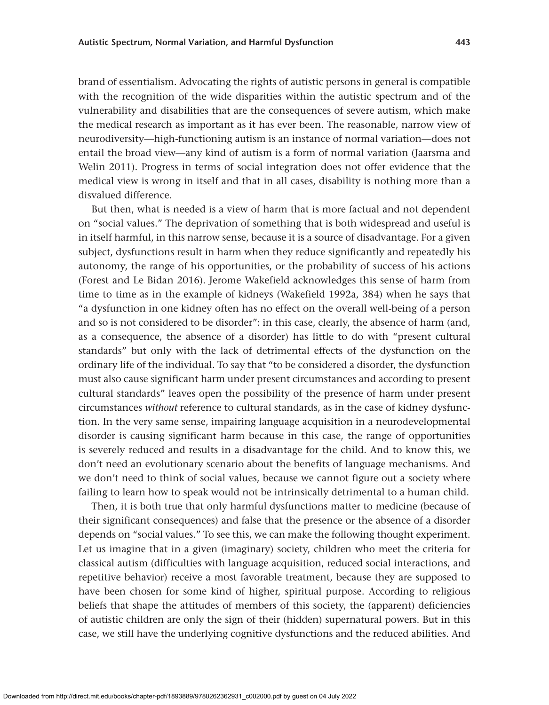brand of essentialism. Advocating the rights of autistic persons in general is compatible with the recognition of the wide disparities within the autistic spectrum and of the vulnerability and disabilities that are the consequences of severe autism, which make the medical research as important as it has ever been. The reasonable, narrow view of neurodiversity—high-functioning autism is an instance of normal variation—does not entail the broad view—any kind of autism is a form of normal variation (Jaarsma and Welin 2011). Progress in terms of social integration does not offer evidence that the medical view is wrong in itself and that in all cases, disability is nothing more than a disvalued difference.

But then, what is needed is a view of harm that is more factual and not dependent on "social values." The deprivation of something that is both widespread and useful is in itself harmful, in this narrow sense, because it is a source of disadvantage. For a given subject, dysfunctions result in harm when they reduce significantly and repeatedly his autonomy, the range of his opportunities, or the probability of success of his actions (Forest and Le Bidan 2016). Jerome Wakefield acknowledges this sense of harm from time to time as in the example of kidneys (Wakefield 1992a, 384) when he says that "a dysfunction in one kidney often has no effect on the overall well-being of a person and so is not considered to be disorder": in this case, clearly, the absence of harm (and, as a consequence, the absence of a disorder) has little to do with "present cultural standards" but only with the lack of detrimental effects of the dysfunction on the ordinary life of the individual. To say that "to be considered a disorder, the dysfunction must also cause significant harm under present circumstances and according to present cultural standards" leaves open the possibility of the presence of harm under present circumstances *without* reference to cultural standards, as in the case of kidney dysfunction. In the very same sense, impairing language acquisition in a neurodevelopmental disorder is causing significant harm because in this case, the range of opportunities is severely reduced and results in a disadvantage for the child. And to know this, we don't need an evolutionary scenario about the benefits of language mechanisms. And we don't need to think of social values, because we cannot figure out a society where failing to learn how to speak would not be intrinsically detrimental to a human child.

Then, it is both true that only harmful dysfunctions matter to medicine (because of their significant consequences) and false that the presence or the absence of a disorder depends on "social values." To see this, we can make the following thought experiment. Let us imagine that in a given (imaginary) society, children who meet the criteria for classical autism (difficulties with language acquisition, reduced social interactions, and repetitive behavior) receive a most favorable treatment, because they are supposed to have been chosen for some kind of higher, spiritual purpose. According to religious beliefs that shape the attitudes of members of this society, the (apparent) deficiencies of autistic children are only the sign of their (hidden) supernatural powers. But in this case, we still have the underlying cognitive dysfunctions and the reduced abilities. And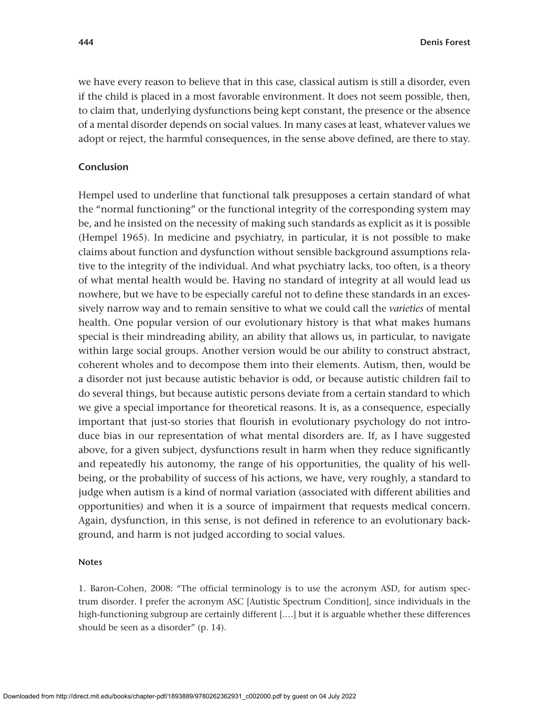we have every reason to believe that in this case, classical autism is still a disorder, even if the child is placed in a most favorable environment. It does not seem possible, then, to claim that, underlying dysfunctions being kept constant, the presence or the absence of a mental disorder depends on social values. In many cases at least, whatever values we adopt or reject, the harmful consequences, in the sense above defined, are there to stay.

### **Conclusion**

Hempel used to underline that functional talk presupposes a certain standard of what the "normal functioning" or the functional integrity of the corresponding system may be, and he insisted on the necessity of making such standards as explicit as it is possible (Hempel 1965). In medicine and psychiatry, in particular, it is not possible to make claims about function and dysfunction without sensible background assumptions relative to the integrity of the individual. And what psychiatry lacks, too often, is a theory of what mental health would be. Having no standard of integrity at all would lead us nowhere, but we have to be especially careful not to define these standards in an excessively narrow way and to remain sensitive to what we could call the *varieties* of mental health. One popular version of our evolutionary history is that what makes humans special is their mindreading ability, an ability that allows us, in particular, to navigate within large social groups. Another version would be our ability to construct abstract, coherent wholes and to decompose them into their elements. Autism, then, would be a disorder not just because autistic behavior is odd, or because autistic children fail to do several things, but because autistic persons deviate from a certain standard to which we give a special importance for theoretical reasons. It is, as a consequence, especially important that just-so stories that flourish in evolutionary psychology do not introduce bias in our representation of what mental disorders are. If, as I have suggested above, for a given subject, dysfunctions result in harm when they reduce significantly and repeatedly his autonomy, the range of his opportunities, the quality of his wellbeing, or the probability of success of his actions, we have, very roughly, a standard to judge when autism is a kind of normal variation (associated with different abilities and opportunities) and when it is a source of impairment that requests medical concern. Again, dysfunction, in this sense, is not defined in reference to an evolutionary background, and harm is not judged according to social values.

### **Notes**

1. Baron-Cohen, 2008: "The official terminology is to use the acronym ASD, for autism spectrum disorder. I prefer the acronym ASC [Autistic Spectrum Condition], since individuals in the high-functioning subgroup are certainly different [.…] but it is arguable whether these differences should be seen as a disorder" (p. 14).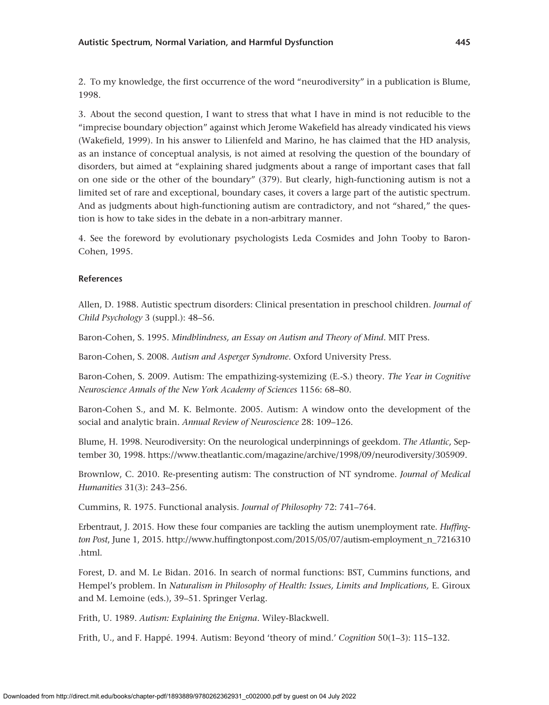2. To my knowledge, the first occurrence of the word "neurodiversity" in a publication is Blume, 1998.

3. About the second question, I want to stress that what I have in mind is not reducible to the "imprecise boundary objection" against which Jerome Wakefield has already vindicated his views (Wakefield, 1999). In his answer to Lilienfeld and Marino, he has claimed that the HD analysis, as an instance of conceptual analysis, is not aimed at resolving the question of the boundary of disorders, but aimed at "explaining shared judgments about a range of important cases that fall on one side or the other of the boundary" (379). But clearly, high-functioning autism is not a limited set of rare and exceptional, boundary cases, it covers a large part of the autistic spectrum. And as judgments about high-functioning autism are contradictory, and not "shared," the question is how to take sides in the debate in a non-arbitrary manner.

4. See the foreword by evolutionary psychologists Leda Cosmides and John Tooby to Baron-Cohen, 1995.

#### **References**

Allen, D. 1988. Autistic spectrum disorders: Clinical presentation in preschool children. *Journal of Child Psychology* 3 (suppl.): 48–56.

Baron-Cohen, S. 1995. *Mindblindness, an Essay on Autism and Theory of Mind*. MIT Press.

Baron-Cohen, S. 2008. *Autism and Asperger Syndrome*. Oxford University Press.

Baron-Cohen, S. 2009. Autism: The empathizing-systemizing (E.-S.) theory. *The Year in Cognitive Neuroscience Annals of the New York Academy of Sciences* 1156: 68–80.

Baron-Cohen S., and M. K. Belmonte. 2005. Autism: A window onto the development of the social and analytic brain. *Annual Review of Neuroscience* 28: 109–126.

Blume, H. 1998. Neurodiversity: On the neurological underpinnings of geekdom. *The Atlantic*, September 30, 1998. [https://www.theatlantic.com/magazine/archive/1998/09/neurodiversity/305909.](https://www.theatlantic.com/magazine/archive/1998/09/neurodiversity/305909)

Brownlow, C. 2010. Re-presenting autism: The construction of NT syndrome. *Journal of Medical Humanities* 31(3): 243–256.

Cummins, R. 1975. Functional analysis. *Journal of Philosophy* 72: 741–764.

Erbentraut, J. 2015. How these four companies are tackling the autism unemployment rate. *Huffington Post*, June 1, 2015. [http://www.huffingtonpost.com/2015/05/07/autism-employment\\_n\\_7216310](http://www.huffingtonpost.com/2015/05/07/autism-employment_n_7216310.html) [.html.](http://www.huffingtonpost.com/2015/05/07/autism-employment_n_7216310.html)

Forest, D. and M. Le Bidan. 2016. In search of normal functions: BST, Cummins functions, and Hempel's problem. In *Naturalism in Philosophy of Health: Issues, Limits and Implications,* E. Giroux and M. Lemoine (eds.), 39–51. Springer Verlag.

Frith, U. 1989. *Autism: Explaining the Enigma*. Wiley-Blackwell.

Frith, U., and F. Happé. 1994. Autism: Beyond 'theory of mind.' *Cognition* 50(1–3): 115–132.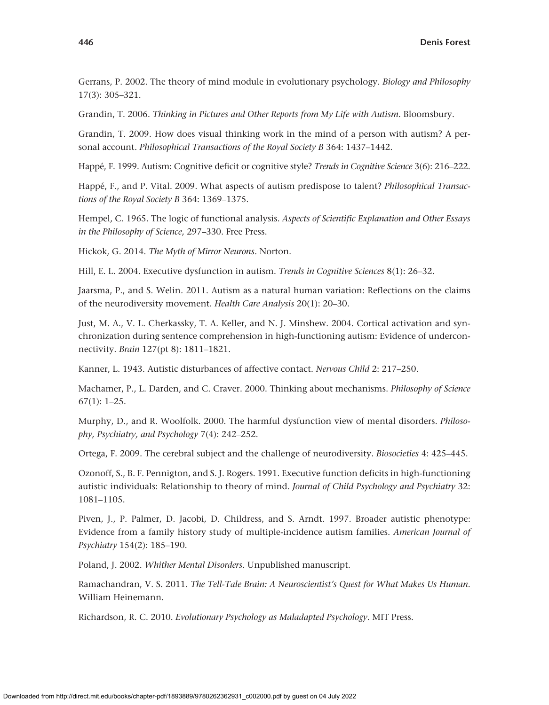Gerrans, P. 2002. The theory of mind module in evolutionary psychology. *Biology and Philosophy* 17(3): 305–321.

Grandin, T. 2006. *Thinking in Pictures and Other Reports from My Life with Autism*. Bloomsbury.

Grandin, T. 2009. How does visual thinking work in the mind of a person with autism? A personal account. *Philosophical Transactions of the Royal Society B* 364: 1437–1442.

Happé, F. 1999. Autism: Cognitive deficit or cognitive style? *Trends in Cognitive Science* 3(6): 216–222.

Happé, F., and P. Vital. 2009. What aspects of autism predispose to talent? *Philosophical Transactions of the Royal Society B* 364: 1369–1375.

Hempel, C. 1965. The logic of functional analysis. *Aspects of Scientific Explanation and Other Essays in the Philosophy of Science*, 297–330. Free Press.

Hickok, G. 2014. *The Myth of Mirror Neurons*. Norton.

Hill, E. L. 2004. Executive dysfunction in autism. *Trends in Cognitive Sciences* 8(1): 26–32.

Jaarsma, P., and S. Welin. 2011. Autism as a natural human variation: Reflections on the claims of the neurodiversity movement. *Health Care Analysis* 20(1): 20–30.

Just, M. A., V. L. Cherkassky, T. A. Keller, and N. J. Minshew. 2004. Cortical activation and synchronization during sentence comprehension in high-functioning autism: Evidence of underconnectivity. *Brain* 127(pt 8): 1811–1821.

Kanner, L. 1943. Autistic disturbances of affective contact. *Nervous Child* 2: 217–250.

Machamer, P., L. Darden, and C. Craver. 2000. Thinking about mechanisms. *Philosophy of Science* 67(1): 1–25.

Murphy, D., and R. Woolfolk. 2000. The harmful dysfunction view of mental disorders. *Philosophy, Psychiatry, and Psychology* 7(4): 242–252.

Ortega, F. 2009. The cerebral subject and the challenge of neurodiversity. *Biosocieties* 4: 425–445.

Ozonoff, S., B. F. Pennigton, and S. J. Rogers. 1991. Executive function deficits in high-functioning autistic individuals: Relationship to theory of mind. *Journal of Child Psychology and Psychiatry* 32: 1081–1105.

Piven, J., P. Palmer, D. Jacobi, D. Childress, and S. Arndt. 1997. Broader autistic phenotype: Evidence from a family history study of multiple-incidence autism families. *American Journal of Psychiatry* 154(2): 185–190.

Poland, J. 2002. *Whither Mental Disorders*. Unpublished manuscript.

Ramachandran, V. S. 2011. *The Tell-Tale Brain: A Neuroscientist's Quest for What Makes Us Human*. William Heinemann.

Richardson, R. C. 2010. *Evolutionary Psychology as Maladapted Psychology*. MIT Press.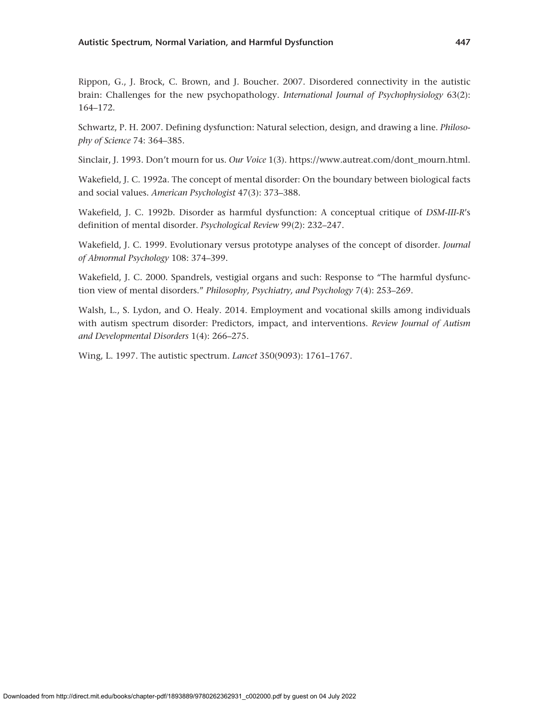Rippon, G., J. Brock, C. Brown, and J. Boucher. 2007. Disordered connectivity in the autistic brain: Challenges for the new psychopathology. *International Journal of Psychophysiology* 63(2): 164–172.

Schwartz, P. H. 2007. Defining dysfunction: Natural selection, design, and drawing a line. *Philosophy of Science* 74: 364–385.

Sinclair, J. 1993. Don't mourn for us. *Our Voice* 1(3). [https://www.autreat.com/dont\\_mourn.html.](https://www.autreat.com/dont_mourn.html)

Wakefield, J. C. 1992a. The concept of mental disorder: On the boundary between biological facts and social values. *American Psychologist* 47(3): 373–388.

Wakefield, J. C. 1992b. Disorder as harmful dysfunction: A conceptual critique of *DSM-III-R*'s definition of mental disorder. *Psychological Review* 99(2): 232–247.

Wakefield, J. C. 1999. Evolutionary versus prototype analyses of the concept of disorder. *Journal of Abnormal Psychology* 108: 374–399.

Wakefield, J. C. 2000. Spandrels, vestigial organs and such: Response to "The harmful dysfunction view of mental disorders." *Philosophy, Psychiatry, and Psychology* 7(4): 253–269.

Walsh, L., S. Lydon, and O. Healy. 2014. Employment and vocational skills among individuals with autism spectrum disorder: Predictors, impact, and interventions. *Review Journal of Autism and Developmental Disorders* 1(4): 266–275.

Wing, L. 1997. The autistic spectrum. *Lancet* 350(9093): 1761–1767.